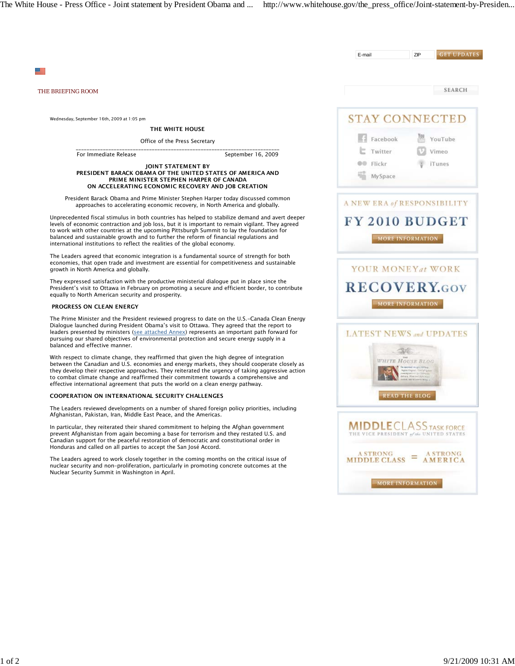